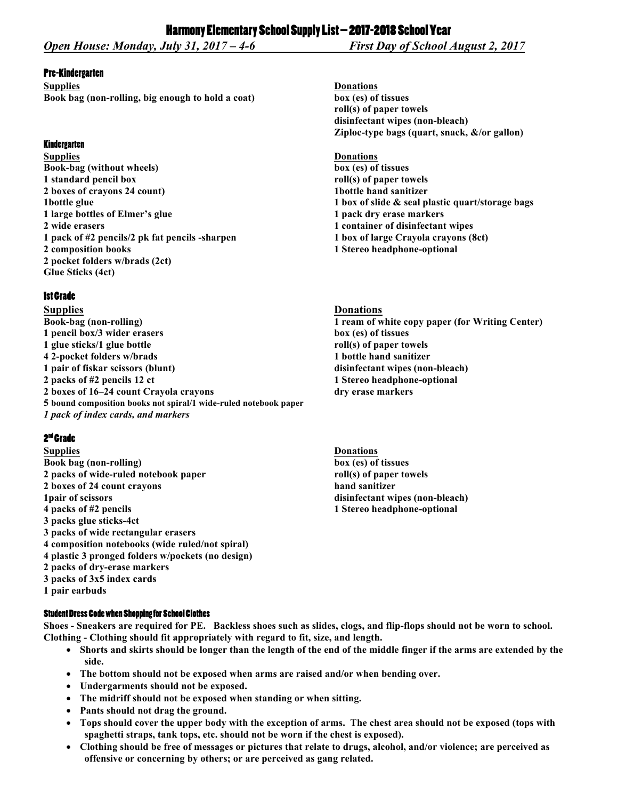## Pre-Kindergarten

**Supplies Donations Book bag (non-rolling, big enough to hold a coat) box (es) of tissues**

## **Kindergarten**

**Supplies Donations Book-bag (without wheels) box (es) of tissues 1 standard pencil box roll(s) of paper towels 2 boxes of crayons 24 count) 1bottle hand sanitizer 1** large bottles of Elmer's glue 1 pack dry erase markers **2 wide erasers 1 container of disinfectant wipes 1 pack of #2 pencils/2 pk fat pencils -sharpen 1 box of large Crayola crayons (8ct) 2 composition books 1 Stereo headphone-optional 2 pocket folders w/brads (2ct) Glue Sticks (4ct)**

## 1st Grade

**Supplies Donations Book-bag (non-rolling) 1 ream of white copy paper (for Writing Center) 1 pencil box/3 wider erasers box (es) of tissues 1 glue sticks/1 glue bottle roll(s) of paper towels 4 2-pocket folders w/brads 1 bottle hand sanitizer 1 pair of fiskar scissors (blunt) disinfectant wipes (non-bleach) 2 packs of #2 pencils 12 ct 1 Stereo headphone-optional 2 boxes of 16–24 count Crayola crayons dry erase markers 5 bound composition books not spiral/1 wide-ruled notebook paper**

*1 pack of index cards, and markers*

# 2<sup>nd</sup> Grade

**Supplies Donations Book bag (non-rolling) box (es) of tissues 2 packs of wide-ruled notebook paper roll(s) of paper towels 2 boxes of 24 count crayons hand sanitizer 1pair of scissors disinfectant wipes (non-bleach) 4 packs of #2 pencils 1 Stereo headphone-optional 3 packs glue sticks-4ct 3 packs of wide rectangular erasers 4 composition notebooks (wide ruled/not spiral) 4 plastic 3 pronged folders w/pockets (no design) 2 packs of dry-erase markers 3 packs of 3x5 index cards 1 pair earbuds**

## **Student Dress Code when Shopping for School Clothes**

**Shoes - Sneakers are required for PE. Backless shoes such as slides, clogs, and flip-flops should not be worn to school. Clothing - Clothing should fit appropriately with regard to fit, size, and length.**

- **Shorts and skirts should be longer than the length of the end of the middle finger if the arms are extended by the side.**
- **The bottom should not be exposed when arms are raised and/or when bending over.**
- **Undergarments should not be exposed.**
- **The midriff should not be exposed when standing or when sitting.**
- **Pants should not drag the ground.**
- **Tops should cover the upper body with the exception of arms. The chest area should not be exposed (tops with spaghetti straps, tank tops, etc. should not be worn if the chest is exposed).**
- **Clothing should be free of messages or pictures that relate to drugs, alcohol, and/or violence; are perceived as offensive or concerning by others; or are perceived as gang related.**

**roll(s) of paper towels disinfectant wipes (non-bleach) Ziploc-type bags (quart, snack, &/or gallon)**

**1** bottle glue **1** box of slide & seal plastic quart/storage bags